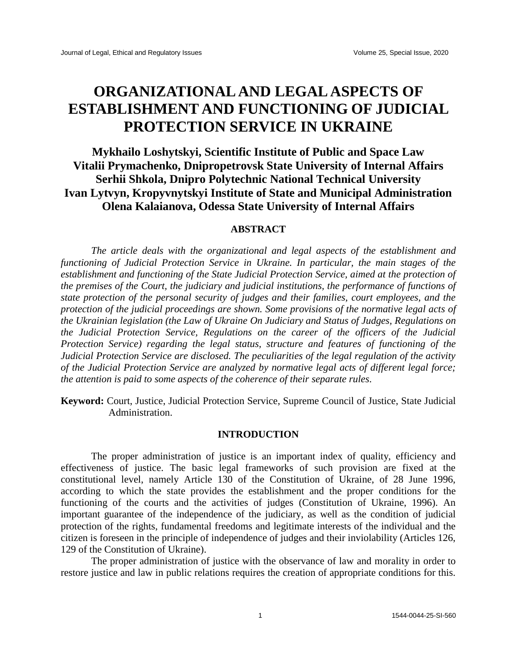# **ORGANIZATIONAL AND LEGAL ASPECTS OF ESTABLISHMENT AND FUNCTIONING OF JUDICIAL PROTECTION SERVICE IN UKRAINE**

# **Mykhailo Loshytskyi, Scientific Institute of Public and Space Law Vitalii Prymachenko, Dnipropetrovsk State University of Internal Affairs Serhii Shkola, Dnipro Polytechnic National Technical University Ivan Lytvyn, Kropyvnytskyi Institute of State and Municipal Administration Olena Kalaianova, Odessa State University of Internal Affairs**

## **ABSTRACT**

*The article deals with the organizational and legal aspects of the establishment and functioning of Judicial Protection Service in Ukraine. In particular, the main stages of the establishment and functioning of the State Judicial Protection Service, aimed at the protection of the premises of the Court, the judiciary and judicial institutions, the performance of functions of state protection of the personal security of judges and their families, court employees, and the protection of the judicial proceedings are shown. Some provisions of the normative legal acts of the Ukrainian legislation (the Law of Ukraine On Judiciary and Status of Judges, Regulations on the Judicial Protection Service, Regulations on the career of the officers of the Judicial Protection Service) regarding the legal status, structure and features of functioning of the Judicial Protection Service are disclosed. The peculiarities of the legal regulation of the activity of the Judicial Protection Service are analyzed by normative legal acts of different legal force; the attention is paid to some aspects of the coherence of their separate rules.*

**Keyword:** Court, Justice, Judicial Protection Service, Supreme Council of Justice, State Judicial Administration.

#### **INTRODUCTION**

The proper administration of justice is an important index of quality, efficiency and effectiveness of justice. The basic legal frameworks of such provision are fixed at the constitutional level, namely Article 130 of the Constitution of Ukraine, of 28 June 1996, according to which the state provides the establishment and the proper conditions for the functioning of the courts and the activities of judges (Constitution of Ukraine, 1996). An important guarantee of the independence of the judiciary, as well as the condition of judicial protection of the rights, fundamental freedoms and legitimate interests of the individual and the citizen is foreseen in the principle of independence of judges and their inviolability (Articles 126, 129 of the Constitution of Ukraine).

The proper administration of justice with the observance of law and morality in order to restore justice and law in public relations requires the creation of appropriate conditions for this.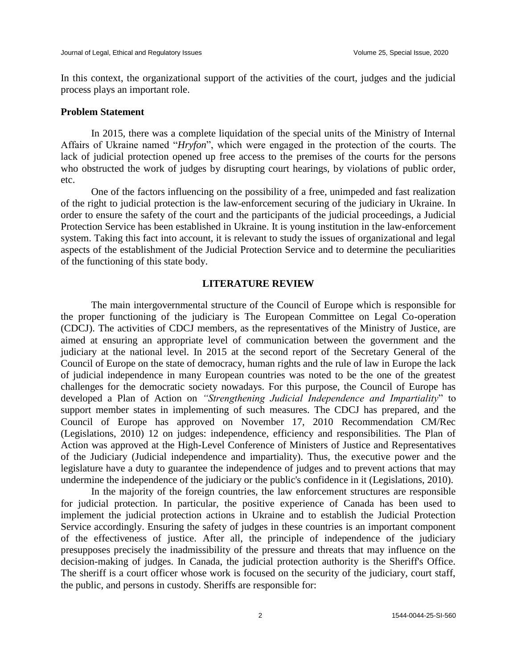In this context, the organizational support of the activities of the court, judges and the judicial process plays an important role.

#### **Problem Statement**

In 2015, there was a complete liquidation of the special units of the Ministry of Internal Affairs of Ukraine named "*Hryfon*", which were engaged in the protection of the courts. The lack of judicial protection opened up free access to the premises of the courts for the persons who obstructed the work of judges by disrupting court hearings, by violations of public order, etc.

One of the factors influencing on the possibility of a free, unimpeded and fast realization of the right to judicial protection is the law-enforcement securing of the judiciary in Ukraine. In order to ensure the safety of the court and the participants of the judicial proceedings, a Judicial Protection Service has been established in Ukraine. It is young institution in the law-enforcement system. Taking this fact into account, it is relevant to study the issues of organizational and legal aspects of the establishment of the Judicial Protection Service and to determine the peculiarities of the functioning of this state body.

### **LITERATURE REVIEW**

The main intergovernmental structure of the Council of Europe which is responsible for the proper functioning of the judiciary is The European Committee on Legal Co-operation (CDCJ). The activities of CDCJ members, as the representatives of the Ministry of Justice, are aimed at ensuring an appropriate level of communication between the government and the judiciary at the national level. In 2015 at the second report of the Secretary General of the Council of Europe on the state of democracy, human rights and the rule of law in Europe the lack of judicial independence in many European countries was noted to be the one of the greatest challenges for the democratic society nowadays. For this purpose, the Council of Europe has developed a Plan of Action on *"Strengthening Judicial Independence and Impartiality*" to support member states in implementing of such measures. The CDCJ has prepared, and the Council of Europe has approved on November 17, 2010 Recommendation CM/Rec (Legislations, 2010) 12 on judges: independence, efficiency and responsibilities. The Plan of Action was approved at the High-Level Conference of Ministers of Justice and Representatives of the Judiciary (Judicial independence and impartiality). Thus, the executive power and the legislature have a duty to guarantee the independence of judges and to prevent actions that may undermine the independence of the judiciary or the public's confidence in it (Legislations, 2010).

In the majority of the foreign countries, the law enforcement structures are responsible for judicial protection. In particular, the positive experience of Canada has been used to implement the judicial protection actions in Ukraine and to establish the Judicial Protection Service accordingly. Ensuring the safety of judges in these countries is an important component of the effectiveness of justice. After all, the principle of independence of the judiciary presupposes precisely the inadmissibility of the pressure and threats that may influence on the decision-making of judges. In Canada, the judicial protection authority is the Sheriff's Office. The sheriff is a court officer whose work is focused on the security of the judiciary, court staff, the public, and persons in custody. Sheriffs are responsible for: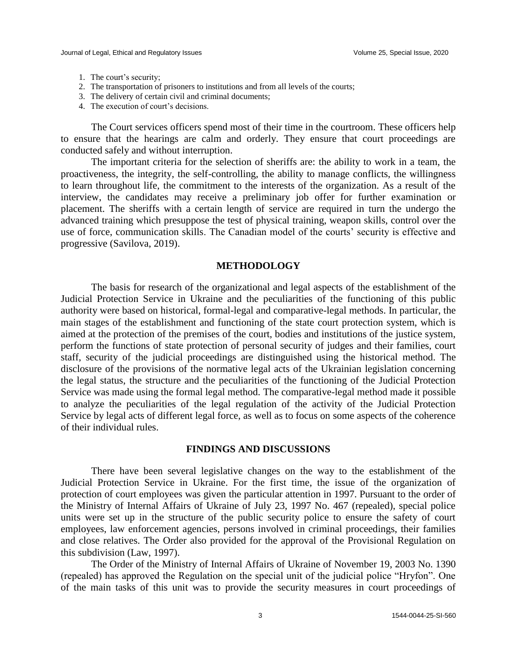- 1. The court's security;
- 2. The transportation of prisoners to institutions and from all levels of the courts;
- 3. The delivery of certain civil and criminal documents;
- 4. The execution of court's decisions.

The Court services officers spend most of their time in the courtroom. These officers help to ensure that the hearings are calm and orderly. They ensure that court proceedings are conducted safely and without interruption.

The important criteria for the selection of sheriffs are: the ability to work in a team, the proactiveness, the integrity, the self-controlling, the ability to manage conflicts, the willingness to learn throughout life, the commitment to the interests of the organization. As a result of the interview, the candidates may receive a preliminary job offer for further examination or placement. The sheriffs with a certain length of service are required in turn the undergo the advanced training which presuppose the test of physical training, weapon skills, control over the use of force, communication skills. The Canadian model of the courts' security is effective and progressive (Savilova, 2019).

#### **METHODOLOGY**

The basis for research of the organizational and legal aspects of the establishment of the Judicial Protection Service in Ukraine and the peculiarities of the functioning of this public authority were based on historical, formal-legal and comparative-legal methods. In particular, the main stages of the establishment and functioning of the state court protection system, which is aimed at the protection of the premises of the court, bodies and institutions of the justice system, perform the functions of state protection of personal security of judges and their families, court staff, security of the judicial proceedings are distinguished using the historical method. The disclosure of the provisions of the normative legal acts of the Ukrainian legislation concerning the legal status, the structure and the peculiarities of the functioning of the Judicial Protection Service was made using the formal legal method. The comparative-legal method made it possible to analyze the peculiarities of the legal regulation of the activity of the Judicial Protection Service by legal acts of different legal force, as well as to focus on some aspects of the coherence of their individual rules.

#### **FINDINGS AND DISCUSSIONS**

There have been several legislative changes on the way to the establishment of the Judicial Protection Service in Ukraine. For the first time, the issue of the organization of protection of court employees was given the particular attention in 1997. Pursuant to the order of the Ministry of Internal Affairs of Ukraine of July 23, 1997 No. 467 (repealed), special police units were set up in the structure of the public security police to ensure the safety of court employees, law enforcement agencies, persons involved in criminal proceedings, their families and close relatives. The Order also provided for the approval of the Provisional Regulation on this subdivision (Law, 1997).

The Order of the Ministry of Internal Affairs of Ukraine of November 19, 2003 No. 1390 (repealed) has approved the Regulation on the special unit of the judicial police "Hryfon". One of the main tasks of this unit was to provide the security measures in court proceedings of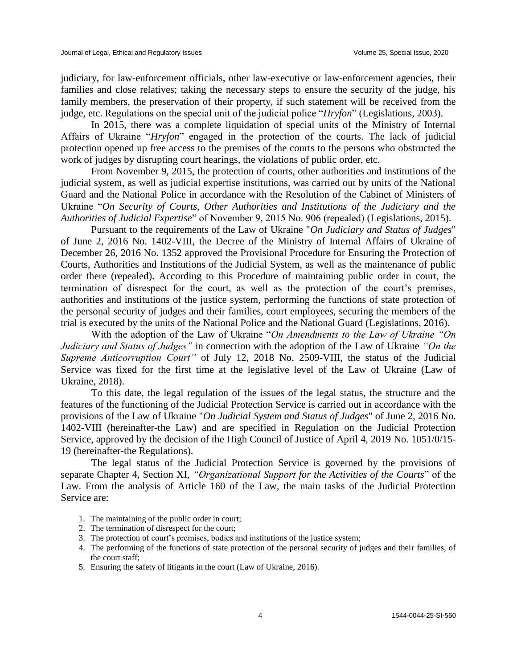judiciary, for law-enforcement officials, other law-executive or law-enforcement agencies, their families and close relatives; taking the necessary steps to ensure the security of the judge, his family members, the preservation of their property, if such statement will be received from the judge, etc. Regulations on the special unit of the judicial police "*Hryfon*" (Legislations, 2003).

In 2015, there was a complete liquidation of special units of the Ministry of Internal Affairs of Ukraine "*Hryfon*" engaged in the protection of the courts. The lack of judicial protection opened up free access to the premises of the courts to the persons who obstructed the work of judges by disrupting court hearings, the violations of public order, etc.

From November 9, 2015, the protection of courts, other authorities and institutions of the judicial system, as well as judicial expertise institutions, was carried out by units of the National Guard and the National Police in accordance with the Resolution of the Cabinet of Ministers of Ukraine "*On Security of Courts, Other Authorities and Institutions of the Judiciary and the Authorities of Judicial Expertise*" of November 9, 2015 No. 906 (repealed) (Legislations, 2015).

Pursuant to the requirements of the Law of Ukraine "*On Judiciary and Status of Judges*" of June 2, 2016 No. 1402-VIII, the Decree of the Ministry of Internal Affairs of Ukraine of December 26, 2016 No. 1352 approved the Provisional Procedure for Ensuring the Protection of Courts, Authorities and Institutions of the Judicial System, as well as the maintenance of public order there (repealed). According to this Procedure of maintaining public order in court, the termination of disrespect for the court, as well as the protection of the court's premises, authorities and institutions of the justice system, performing the functions of state protection of the personal security of judges and their families, court employees, securing the members of the trial is executed by the units of the National Police and the National Guard (Legislations, 2016).

With the adoption of the Law of Ukraine "*On Amendments to the Law of Ukraine "On Judiciary and Status of Judges"* in connection with the adoption of the Law of Ukraine *"On the Supreme Anticorruption Court"* of July 12, 2018 No. 2509-VIII, the status of the Judicial Service was fixed for the first time at the legislative level of the Law of Ukraine (Law of Ukraine, 2018).

To this date, the legal regulation of the issues of the legal status, the structure and the features of the functioning of the Judicial Protection Service is carried out in accordance with the provisions of the Law of Ukraine "*On Judicial System and Status of Judges*" of June 2, 2016 No. 1402-VIII (hereinafter-the Law) and are specified in Regulation on the Judicial Protection Service, approved by the decision of the High Council of Justice of April 4, 2019 No. 1051/0/15- 19 (hereinafter-the Regulations).

The legal status of the Judicial Protection Service is governed by the provisions of separate Chapter 4, Section XI, *"Organizational Support for the Activities of the Courts*" of the Law. From the analysis of Article 160 of the Law, the main tasks of the Judicial Protection Service are:

- 1. The maintaining of the public order in court;
- 2. The termination of disrespect for the court;
- 3. The protection of court's premises, bodies and institutions of the justice system;
- 4. The performing of the functions of state protection of the personal security of judges and their families, of the court staff;
- 5. Ensuring the safety of litigants in the court (Law of Ukraine, 2016).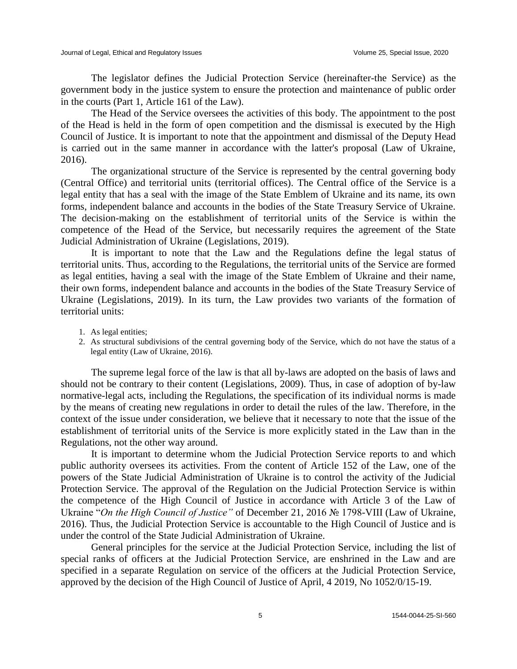The legislator defines the Judicial Protection Service (hereinafter-the Service) as the government body in the justice system to ensure the protection and maintenance of public order in the courts (Part 1, Article 161 of the Law).

The Head of the Service oversees the activities of this body. The appointment to the post of the Head is held in the form of open competition and the dismissal is executed by the High Council of Justice. It is important to note that the appointment and dismissal of the Deputy Head is carried out in the same manner in accordance with the latter's proposal (Law of Ukraine, 2016).

The organizational structure of the Service is represented by the central governing body (Central Office) and territorial units (territorial offices). The Central office of the Service is a legal entity that has a seal with the image of the State Emblem of Ukraine and its name, its own forms, independent balance and accounts in the bodies of the State Treasury Service of Ukraine. The decision-making on the establishment of territorial units of the Service is within the competence of the Head of the Service, but necessarily requires the agreement of the State Judicial Administration of Ukraine (Legislations, 2019).

It is important to note that the Law and the Regulations define the legal status of territorial units. Thus, according to the Regulations, the territorial units of the Service are formed as legal entities, having a seal with the image of the State Emblem of Ukraine and their name, their own forms, independent balance and accounts in the bodies of the State Treasury Service of Ukraine (Legislations, 2019). In its turn, the Law provides two variants of the formation of territorial units:

- 1. As legal entities;
- 2. As structural subdivisions of the central governing body of the Service, which do not have the status of a legal entity (Law of Ukraine, 2016).

The supreme legal force of the law is that all by-laws are adopted on the basis of laws and should not be contrary to their content (Legislations, 2009). Thus, in case of adoption of by-law normative-legal acts, including the Regulations, the specification of its individual norms is made by the means of creating new regulations in order to detail the rules of the law. Therefore, in the context of the issue under consideration, we believe that it necessary to note that the issue of the establishment of territorial units of the Service is more explicitly stated in the Law than in the Regulations, not the other way around.

It is important to determine whom the Judicial Protection Service reports to and which public authority oversees its activities. From the content of Article 152 of the Law, one of the powers of the State Judicial Administration of Ukraine is to control the activity of the Judicial Protection Service. The approval of the Regulation on the Judicial Protection Service is within the competence of the High Council of Justice in accordance with Article 3 of the Law of Ukraine "*On the High Council of Justice"* of December 21, 2016 № 1798-VIII (Law of Ukraine, 2016). Thus, the Judicial Protection Service is accountable to the High Council of Justice and is under the control of the State Judicial Administration of Ukraine.

General principles for the service at the Judicial Protection Service, including the list of special ranks of officers at the Judicial Protection Service, are enshrined in the Law and are specified in a separate Regulation on service of the officers at the Judicial Protection Service, approved by the decision of the High Council of Justice of April, 4 2019, No 1052/0/15-19.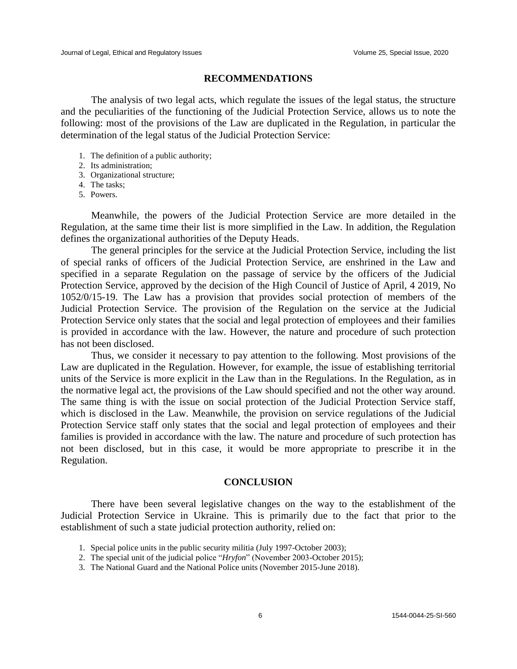#### **RECOMMENDATIONS**

The analysis of two legal acts, which regulate the issues of the legal status, the structure and the peculiarities of the functioning of the Judicial Protection Service, allows us to note the following: most of the provisions of the Law are duplicated in the Regulation, in particular the determination of the legal status of the Judicial Protection Service:

- 1. The definition of a public authority;
- 2. Its administration;
- 3. Organizational structure;
- 4. The tasks;
- 5. Powers.

Meanwhile, the powers of the Judicial Protection Service are more detailed in the Regulation, at the same time their list is more simplified in the Law. In addition, the Regulation defines the organizational authorities of the Deputy Heads.

The general principles for the service at the Judicial Protection Service, including the list of special ranks of officers of the Judicial Protection Service, are enshrined in the Law and specified in a separate Regulation on the passage of service by the officers of the Judicial Protection Service, approved by the decision of the High Council of Justice of April, 4 2019, No 1052/0/15-19. The Law has a provision that provides social protection of members of the Judicial Protection Service. The provision of the Regulation on the service at the Judicial Protection Service only states that the social and legal protection of employees and their families is provided in accordance with the law. However, the nature and procedure of such protection has not been disclosed.

Thus, we consider it necessary to pay attention to the following. Most provisions of the Law are duplicated in the Regulation. However, for example, the issue of establishing territorial units of the Service is more explicit in the Law than in the Regulations. In the Regulation, as in the normative legal act, the provisions of the Law should specified and not the other way around. The same thing is with the issue on social protection of the Judicial Protection Service staff, which is disclosed in the Law. Meanwhile, the provision on service regulations of the Judicial Protection Service staff only states that the social and legal protection of employees and their families is provided in accordance with the law. The nature and procedure of such protection has not been disclosed, but in this case, it would be more appropriate to prescribe it in the Regulation.

#### **CONCLUSION**

There have been several legislative changes on the way to the establishment of the Judicial Protection Service in Ukraine. This is primarily due to the fact that prior to the establishment of such a state judicial protection authority, relied on:

- 1. Special police units in the public security militia (July 1997-October 2003);
- 2. The special unit of the judicial police "*Hryfon*" (November 2003-October 2015);
- 3. The National Guard and the National Police units (November 2015-June 2018).